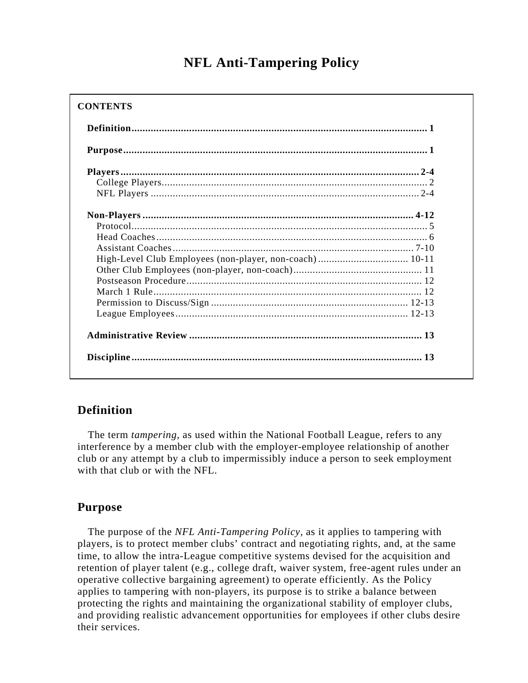# **NFL Anti-Tampering Policy**

#### **CONTENTS**

| High-Level Club Employees (non-player, non-coach) 10-11 |  |
|---------------------------------------------------------|--|
|                                                         |  |
|                                                         |  |
|                                                         |  |
|                                                         |  |
|                                                         |  |
|                                                         |  |

## **Definition**

 The term *tampering,* as used within the National Football League, refers to any interference by a member club with the employer-employee relationship of another club or any attempt by a club to impermissibly induce a person to seek employment with that club or with the NFL.

### **Purpose**

 The purpose of the *NFL Anti-Tampering Policy,* as it applies to tampering with players, is to protect member clubs' contract and negotiating rights, and, at the same time, to allow the intra-League competitive systems devised for the acquisition and retention of player talent (e.g., college draft, waiver system, free-agent rules under an operative collective bargaining agreement) to operate efficiently. As the Policy applies to tampering with non-players, its purpose is to strike a balance between protecting the rights and maintaining the organizational stability of employer clubs, and providing realistic advancement opportunities for employees if other clubs desire their services.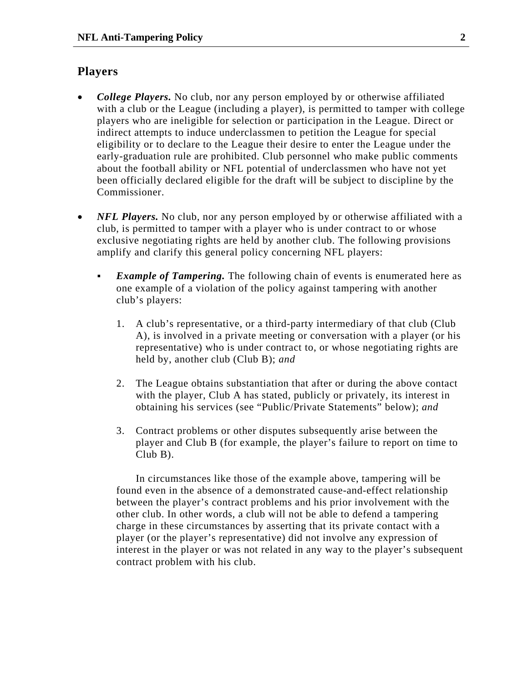#### **Players**

- *College Players*. No club, nor any person employed by or otherwise affiliated with a club or the League (including a player), is permitted to tamper with college players who are ineligible for selection or participation in the League. Direct or indirect attempts to induce underclassmen to petition the League for special eligibility or to declare to the League their desire to enter the League under the early-graduation rule are prohibited. Club personnel who make public comments about the football ability or NFL potential of underclassmen who have not yet been officially declared eligible for the draft will be subject to discipline by the Commissioner.
- *NFL Players*. No club, nor any person employed by or otherwise affiliated with a club, is permitted to tamper with a player who is under contract to or whose exclusive negotiating rights are held by another club. The following provisions amplify and clarify this general policy concerning NFL players:
	- *Example of Tampering.* The following chain of events is enumerated here as one example of a violation of the policy against tampering with another club's players:
		- 1. A club's representative, or a third-party intermediary of that club (Club A), is involved in a private meeting or conversation with a player (or his representative) who is under contract to, or whose negotiating rights are held by, another club (Club B); *and*
		- 2. The League obtains substantiation that after or during the above contact with the player, Club A has stated, publicly or privately, its interest in obtaining his services (see "Public/Private Statements" below); *and*
		- 3. Contract problems or other disputes subsequently arise between the player and Club B (for example, the player's failure to report on time to Club B).

In circumstances like those of the example above, tampering will be found even in the absence of a demonstrated cause-and-effect relationship between the player's contract problems and his prior involvement with the other club. In other words, a club will not be able to defend a tampering charge in these circumstances by asserting that its private contact with a player (or the player's representative) did not involve any expression of interest in the player or was not related in any way to the player's subsequent contract problem with his club.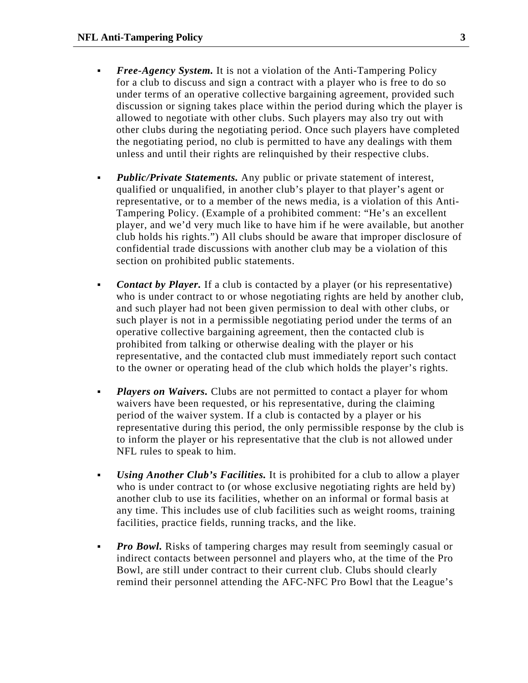- *Free-Agency System.* It is not a violation of the Anti-Tampering Policy for a club to discuss and sign a contract with a player who is free to do so under terms of an operative collective bargaining agreement, provided such discussion or signing takes place within the period during which the player is allowed to negotiate with other clubs. Such players may also try out with other clubs during the negotiating period. Once such players have completed the negotiating period, no club is permitted to have any dealings with them unless and until their rights are relinquished by their respective clubs.
- *Public/Private Statements.* Any public or private statement of interest, qualified or unqualified, in another club's player to that player's agent or representative, or to a member of the news media, is a violation of this Anti-Tampering Policy. (Example of a prohibited comment: "He's an excellent player, and we'd very much like to have him if he were available, but another club holds his rights.") All clubs should be aware that improper disclosure of confidential trade discussions with another club may be a violation of this section on prohibited public statements.
- *Contact by Player.* If a club is contacted by a player (or his representative) who is under contract to or whose negotiating rights are held by another club, and such player had not been given permission to deal with other clubs, or such player is not in a permissible negotiating period under the terms of an operative collective bargaining agreement, then the contacted club is prohibited from talking or otherwise dealing with the player or his representative, and the contacted club must immediately report such contact to the owner or operating head of the club which holds the player's rights.
- **Players on Waivers.** Clubs are not permitted to contact a player for whom waivers have been requested, or his representative, during the claiming period of the waiver system. If a club is contacted by a player or his representative during this period, the only permissible response by the club is to inform the player or his representative that the club is not allowed under NFL rules to speak to him.
- *Using Another Club's Facilities.* It is prohibited for a club to allow a player who is under contract to (or whose exclusive negotiating rights are held by) another club to use its facilities, whether on an informal or formal basis at any time. This includes use of club facilities such as weight rooms, training facilities, practice fields, running tracks, and the like.
- **Pro Bowl.** Risks of tampering charges may result from seemingly casual or indirect contacts between personnel and players who, at the time of the Pro Bowl, are still under contract to their current club. Clubs should clearly remind their personnel attending the AFC-NFC Pro Bowl that the League's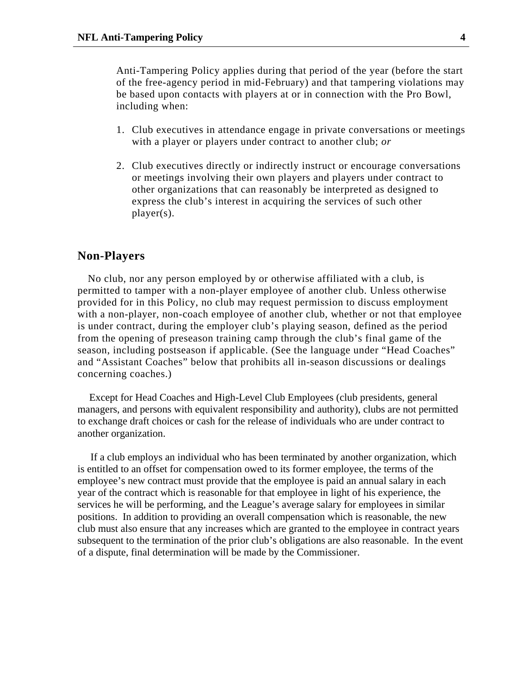Anti-Tampering Policy applies during that period of the year (before the start of the free-agency period in mid-February) and that tampering violations may be based upon contacts with players at or in connection with the Pro Bowl, including when:

- 1. Club executives in attendance engage in private conversations or meetings with a player or players under contract to another club; *or*
- 2. Club executives directly or indirectly instruct or encourage conversations or meetings involving their own players and players under contract to other organizations that can reasonably be interpreted as designed to express the club's interest in acquiring the services of such other player(s).

#### **Non-Players**

 No club, nor any person employed by or otherwise affiliated with a club, is permitted to tamper with a non-player employee of another club. Unless otherwise provided for in this Policy, no club may request permission to discuss employment with a non-player, non-coach employee of another club, whether or not that employee is under contract, during the employer club's playing season, defined as the period from the opening of preseason training camp through the club's final game of the season, including postseason if applicable. (See the language under "Head Coaches" and "Assistant Coaches" below that prohibits all in-season discussions or dealings concerning coaches.)

Except for Head Coaches and High-Level Club Employees (club presidents, general managers, and persons with equivalent responsibility and authority), clubs are not permitted to exchange draft choices or cash for the release of individuals who are under contract to another organization.

 If a club employs an individual who has been terminated by another organization, which is entitled to an offset for compensation owed to its former employee, the terms of the employee's new contract must provide that the employee is paid an annual salary in each year of the contract which is reasonable for that employee in light of his experience, the services he will be performing, and the League's average salary for employees in similar positions. In addition to providing an overall compensation which is reasonable, the new club must also ensure that any increases which are granted to the employee in contract years subsequent to the termination of the prior club's obligations are also reasonable. In the event of a dispute, final determination will be made by the Commissioner.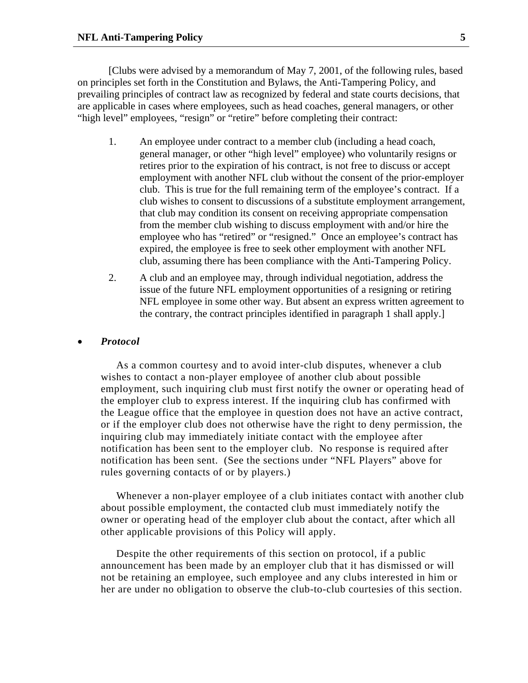[Clubs were advised by a memorandum of May 7, 2001, of the following rules, based on principles set forth in the Constitution and Bylaws, the Anti-Tampering Policy, and prevailing principles of contract law as recognized by federal and state courts decisions, that are applicable in cases where employees, such as head coaches, general managers, or other "high level" employees, "resign" or "retire" before completing their contract:

- 1. An employee under contract to a member club (including a head coach, general manager, or other "high level" employee) who voluntarily resigns or retires prior to the expiration of his contract, is not free to discuss or accept employment with another NFL club without the consent of the prior-employer club. This is true for the full remaining term of the employee's contract. If a club wishes to consent to discussions of a substitute employment arrangement, that club may condition its consent on receiving appropriate compensation from the member club wishing to discuss employment with and/or hire the employee who has "retired" or "resigned." Once an employee's contract has expired, the employee is free to seek other employment with another NFL club, assuming there has been compliance with the Anti-Tampering Policy.
- 2. A club and an employee may, through individual negotiation, address the issue of the future NFL employment opportunities of a resigning or retiring NFL employee in some other way. But absent an express written agreement to the contrary, the contract principles identified in paragraph 1 shall apply.]

#### • *Protocol*

As a common courtesy and to avoid inter-club disputes, whenever a club wishes to contact a non-player employee of another club about possible employment, such inquiring club must first notify the owner or operating head of the employer club to express interest. If the inquiring club has confirmed with the League office that the employee in question does not have an active contract, or if the employer club does not otherwise have the right to deny permission, the inquiring club may immediately initiate contact with the employee after notification has been sent to the employer club. No response is required after notification has been sent. (See the sections under "NFL Players" above for rules governing contacts of or by players.)

Whenever a non-player employee of a club initiates contact with another club about possible employment, the contacted club must immediately notify the owner or operating head of the employer club about the contact, after which all other applicable provisions of this Policy will apply.

Despite the other requirements of this section on protocol, if a public announcement has been made by an employer club that it has dismissed or will not be retaining an employee, such employee and any clubs interested in him or her are under no obligation to observe the club-to-club courtesies of this section.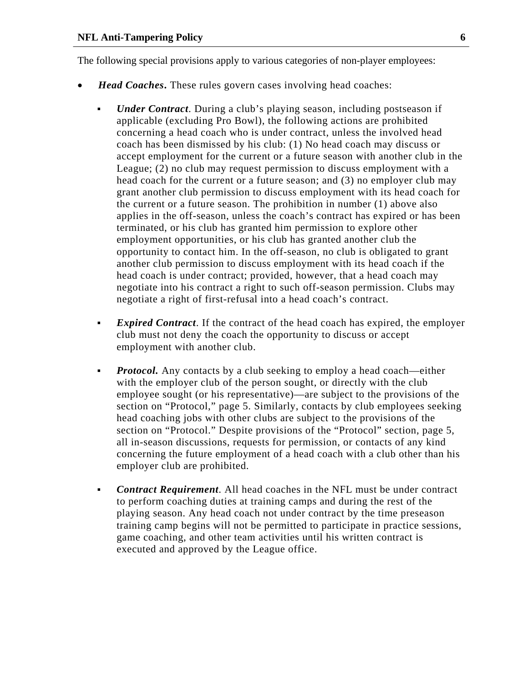The following special provisions apply to various categories of non-player employees:

- *Head Coaches***.** These rules govern cases involving head coaches:
	- *Under Contract*. During a club's playing season, including postseason if applicable (excluding Pro Bowl), the following actions are prohibited concerning a head coach who is under contract, unless the involved head coach has been dismissed by his club: (1) No head coach may discuss or accept employment for the current or a future season with another club in the League; (2) no club may request permission to discuss employment with a head coach for the current or a future season; and (3) no employer club may grant another club permission to discuss employment with its head coach for the current or a future season. The prohibition in number (1) above also applies in the off-season, unless the coach's contract has expired or has been terminated, or his club has granted him permission to explore other employment opportunities, or his club has granted another club the opportunity to contact him. In the off-season, no club is obligated to grant another club permission to discuss employment with its head coach if the head coach is under contract; provided, however, that a head coach may negotiate into his contract a right to such off-season permission. Clubs may negotiate a right of first-refusal into a head coach's contract.
	- *Expired Contract*. If the contract of the head coach has expired, the employer club must not deny the coach the opportunity to discuss or accept employment with another club.
	- **Protocol.** Any contacts by a club seeking to employ a head coach—either with the employer club of the person sought, or directly with the club employee sought (or his representative)—are subject to the provisions of the section on "Protocol," page 5. Similarly, contacts by club employees seeking head coaching jobs with other clubs are subject to the provisions of the section on "Protocol." Despite provisions of the "Protocol" section, page 5, all in-season discussions, requests for permission, or contacts of any kind concerning the future employment of a head coach with a club other than his employer club are prohibited.
	- *Contract Requirement*. All head coaches in the NFL must be under contract to perform coaching duties at training camps and during the rest of the playing season. Any head coach not under contract by the time preseason training camp begins will not be permitted to participate in practice sessions, game coaching, and other team activities until his written contract is executed and approved by the League office.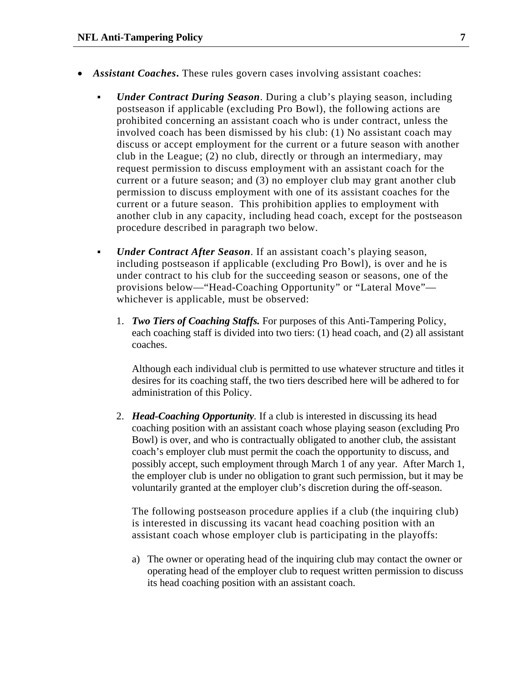- *Assistant Coaches*. These rules govern cases involving assistant coaches:
	- *Under Contract During Season*. During a club's playing season, including postseason if applicable (excluding Pro Bowl), the following actions are prohibited concerning an assistant coach who is under contract, unless the involved coach has been dismissed by his club: (1) No assistant coach may discuss or accept employment for the current or a future season with another club in the League; (2) no club, directly or through an intermediary, may request permission to discuss employment with an assistant coach for the current or a future season; and (3) no employer club may grant another club permission to discuss employment with one of its assistant coaches for the current or a future season. This prohibition applies to employment with another club in any capacity, including head coach, except for the postseason procedure described in paragraph two below.
	- *Under Contract After Season*. If an assistant coach's playing season, including postseason if applicable (excluding Pro Bowl), is over and he is under contract to his club for the succeeding season or seasons, one of the provisions below—"Head-Coaching Opportunity" or "Lateral Move" whichever is applicable, must be observed:
		- 1. *Two Tiers of Coaching Staffs.* For purposes of this Anti-Tampering Policy, each coaching staff is divided into two tiers: (1) head coach, and (2) all assistant coaches.

Although each individual club is permitted to use whatever structure and titles it desires for its coaching staff, the two tiers described here will be adhered to for administration of this Policy.

2. *Head-Coaching Opportunity.* If a club is interested in discussing its head coaching position with an assistant coach whose playing season (excluding Pro Bowl) is over, and who is contractually obligated to another club, the assistant coach's employer club must permit the coach the opportunity to discuss, and possibly accept, such employment through March 1 of any year. After March 1, the employer club is under no obligation to grant such permission, but it may be voluntarily granted at the employer club's discretion during the off-season.

The following postseason procedure applies if a club (the inquiring club) is interested in discussing its vacant head coaching position with an assistant coach whose employer club is participating in the playoffs:

a) The owner or operating head of the inquiring club may contact the owner or operating head of the employer club to request written permission to discuss its head coaching position with an assistant coach.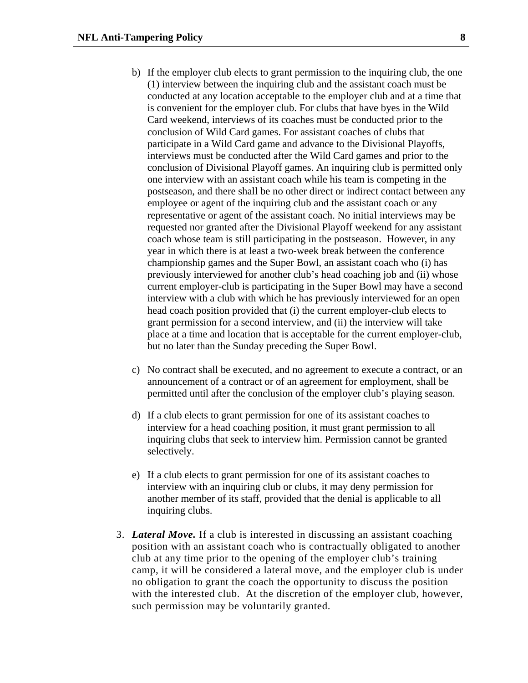- b) If the employer club elects to grant permission to the inquiring club, the one (1) interview between the inquiring club and the assistant coach must be conducted at any location acceptable to the employer club and at a time that is convenient for the employer club. For clubs that have byes in the Wild Card weekend, interviews of its coaches must be conducted prior to the conclusion of Wild Card games. For assistant coaches of clubs that participate in a Wild Card game and advance to the Divisional Playoffs, interviews must be conducted after the Wild Card games and prior to the conclusion of Divisional Playoff games. An inquiring club is permitted only one interview with an assistant coach while his team is competing in the postseason, and there shall be no other direct or indirect contact between any employee or agent of the inquiring club and the assistant coach or any representative or agent of the assistant coach. No initial interviews may be requested nor granted after the Divisional Playoff weekend for any assistant coach whose team is still participating in the postseason. However, in any year in which there is at least a two-week break between the conference championship games and the Super Bowl, an assistant coach who (i) has previously interviewed for another club's head coaching job and (ii) whose current employer-club is participating in the Super Bowl may have a second interview with a club with which he has previously interviewed for an open head coach position provided that (i) the current employer-club elects to grant permission for a second interview, and (ii) the interview will take place at a time and location that is acceptable for the current employer-club, but no later than the Sunday preceding the Super Bowl.
- c) No contract shall be executed, and no agreement to execute a contract, or an announcement of a contract or of an agreement for employment, shall be permitted until after the conclusion of the employer club's playing season.
- d) If a club elects to grant permission for one of its assistant coaches to interview for a head coaching position, it must grant permission to all inquiring clubs that seek to interview him. Permission cannot be granted selectively.
- e) If a club elects to grant permission for one of its assistant coaches to interview with an inquiring club or clubs, it may deny permission for another member of its staff, provided that the denial is applicable to all inquiring clubs.
- 3. *Lateral Move.* If a club is interested in discussing an assistant coaching position with an assistant coach who is contractually obligated to another club at any time prior to the opening of the employer club's training camp, it will be considered a lateral move, and the employer club is under no obligation to grant the coach the opportunity to discuss the position with the interested club. At the discretion of the employer club, however, such permission may be voluntarily granted.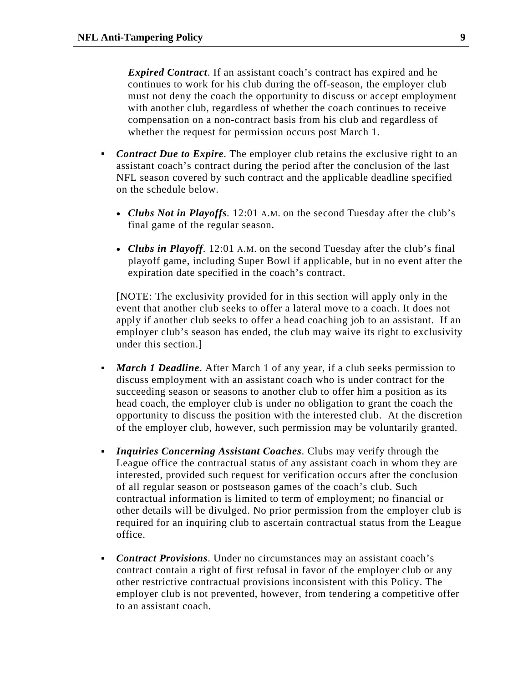*Expired Contract*. If an assistant coach's contract has expired and he continues to work for his club during the off-season, the employer club must not deny the coach the opportunity to discuss or accept employment with another club, regardless of whether the coach continues to receive compensation on a non-contract basis from his club and regardless of whether the request for permission occurs post March 1.

- **Contract Due to Expire**. The employer club retains the exclusive right to an assistant coach's contract during the period after the conclusion of the last NFL season covered by such contract and the applicable deadline specified on the schedule below.
	- *Clubs Not in Playoffs.* 12:01 A.M. on the second Tuesday after the club's final game of the regular season.
	- *Clubs in Playoff.* 12:01 A.M. on the second Tuesday after the club's final playoff game, including Super Bowl if applicable, but in no event after the expiration date specified in the coach's contract.

[NOTE: The exclusivity provided for in this section will apply only in the event that another club seeks to offer a lateral move to a coach. It does not apply if another club seeks to offer a head coaching job to an assistant. If an employer club's season has ended, the club may waive its right to exclusivity under this section.]

- *March 1 Deadline*. After March 1 of any year, if a club seeks permission to discuss employment with an assistant coach who is under contract for the succeeding season or seasons to another club to offer him a position as its head coach, the employer club is under no obligation to grant the coach the opportunity to discuss the position with the interested club. At the discretion of the employer club, however, such permission may be voluntarily granted.
- *Inquiries Concerning Assistant Coaches*. Clubs may verify through the League office the contractual status of any assistant coach in whom they are interested, provided such request for verification occurs after the conclusion of all regular season or postseason games of the coach's club. Such contractual information is limited to term of employment; no financial or other details will be divulged. No prior permission from the employer club is required for an inquiring club to ascertain contractual status from the League office.
- *Contract Provisions*. Under no circumstances may an assistant coach's contract contain a right of first refusal in favor of the employer club or any other restrictive contractual provisions inconsistent with this Policy. The employer club is not prevented, however, from tendering a competitive offer to an assistant coach.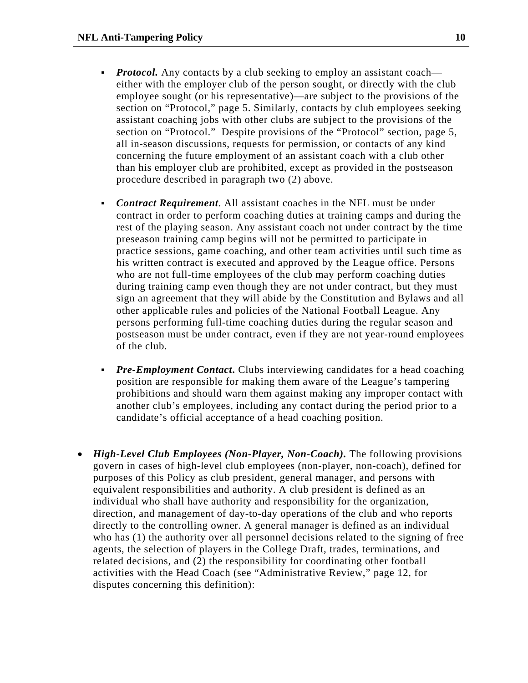- *Protocol.* Any contacts by a club seeking to employ an assistant coach either with the employer club of the person sought, or directly with the club employee sought (or his representative)—are subject to the provisions of the section on "Protocol," page 5. Similarly, contacts by club employees seeking assistant coaching jobs with other clubs are subject to the provisions of the section on "Protocol." Despite provisions of the "Protocol" section, page 5, all in-season discussions, requests for permission, or contacts of any kind concerning the future employment of an assistant coach with a club other than his employer club are prohibited, except as provided in the postseason procedure described in paragraph two (2) above.
- *Contract Requirement*. All assistant coaches in the NFL must be under contract in order to perform coaching duties at training camps and during the rest of the playing season. Any assistant coach not under contract by the time preseason training camp begins will not be permitted to participate in practice sessions, game coaching, and other team activities until such time as his written contract is executed and approved by the League office. Persons who are not full-time employees of the club may perform coaching duties during training camp even though they are not under contract, but they must sign an agreement that they will abide by the Constitution and Bylaws and all other applicable rules and policies of the National Football League. Any persons performing full-time coaching duties during the regular season and postseason must be under contract, even if they are not year-round employees of the club.
- **Pre-Employment Contact.** Clubs interviewing candidates for a head coaching position are responsible for making them aware of the League's tampering prohibitions and should warn them against making any improper contact with another club's employees, including any contact during the period prior to a candidate's official acceptance of a head coaching position.
- *High-Level Club Employees (Non-Player, Non-Coach).* The following provisions govern in cases of high-level club employees (non-player, non-coach), defined for purposes of this Policy as club president, general manager, and persons with equivalent responsibilities and authority. A club president is defined as an individual who shall have authority and responsibility for the organization, direction, and management of day-to-day operations of the club and who reports directly to the controlling owner. A general manager is defined as an individual who has (1) the authority over all personnel decisions related to the signing of free agents, the selection of players in the College Draft, trades, terminations, and related decisions, and (2) the responsibility for coordinating other football activities with the Head Coach (see "Administrative Review," page 12, for disputes concerning this definition):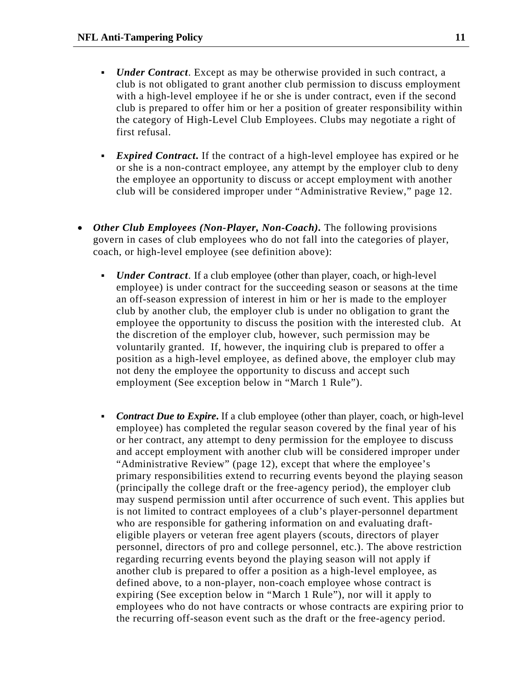- *Under Contract*. Except as may be otherwise provided in such contract, a club is not obligated to grant another club permission to discuss employment with a high-level employee if he or she is under contract, even if the second club is prepared to offer him or her a position of greater responsibility within the category of High-Level Club Employees. Clubs may negotiate a right of first refusal.
- **Expired Contract.** If the contract of a high-level employee has expired or he or she is a non-contract employee, any attempt by the employer club to deny the employee an opportunity to discuss or accept employment with another club will be considered improper under "Administrative Review," page 12.
- *Other Club Employees (Non-Player, Non-Coach)*. The following provisions govern in cases of club employees who do not fall into the categories of player, coach, or high-level employee (see definition above):
	- *Under Contract*. If a club employee (other than player, coach, or high-level) employee) is under contract for the succeeding season or seasons at the time an off-season expression of interest in him or her is made to the employer club by another club, the employer club is under no obligation to grant the employee the opportunity to discuss the position with the interested club. At the discretion of the employer club, however, such permission may be voluntarily granted. If, however, the inquiring club is prepared to offer a position as a high-level employee, as defined above, the employer club may not deny the employee the opportunity to discuss and accept such employment (See exception below in "March 1 Rule").
	- *Contract Due to Expire***.** If a club employee (other than player, coach, or high-level employee) has completed the regular season covered by the final year of his or her contract, any attempt to deny permission for the employee to discuss and accept employment with another club will be considered improper under "Administrative Review" (page 12), except that where the employee's primary responsibilities extend to recurring events beyond the playing season (principally the college draft or the free-agency period), the employer club may suspend permission until after occurrence of such event. This applies but is not limited to contract employees of a club's player-personnel department who are responsible for gathering information on and evaluating drafteligible players or veteran free agent players (scouts, directors of player personnel, directors of pro and college personnel, etc.). The above restriction regarding recurring events beyond the playing season will not apply if another club is prepared to offer a position as a high-level employee, as defined above, to a non-player, non-coach employee whose contract is expiring (See exception below in "March 1 Rule"), nor will it apply to employees who do not have contracts or whose contracts are expiring prior to the recurring off-season event such as the draft or the free-agency period.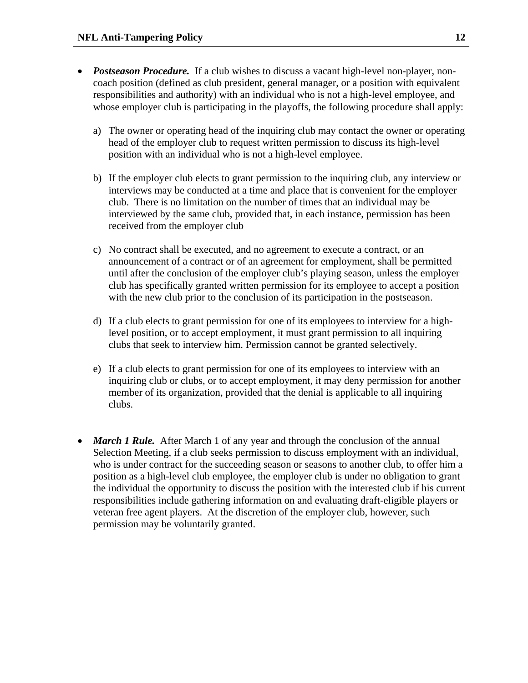- *Postseason Procedure.* If a club wishes to discuss a vacant high-level non-player, noncoach position (defined as club president, general manager, or a position with equivalent responsibilities and authority) with an individual who is not a high-level employee, and whose employer club is participating in the playoffs, the following procedure shall apply:
	- a) The owner or operating head of the inquiring club may contact the owner or operating head of the employer club to request written permission to discuss its high-level position with an individual who is not a high-level employee.
	- b) If the employer club elects to grant permission to the inquiring club, any interview or interviews may be conducted at a time and place that is convenient for the employer club. There is no limitation on the number of times that an individual may be interviewed by the same club, provided that, in each instance, permission has been received from the employer club
	- c) No contract shall be executed, and no agreement to execute a contract, or an announcement of a contract or of an agreement for employment, shall be permitted until after the conclusion of the employer club's playing season, unless the employer club has specifically granted written permission for its employee to accept a position with the new club prior to the conclusion of its participation in the postseason.
	- d) If a club elects to grant permission for one of its employees to interview for a highlevel position, or to accept employment, it must grant permission to all inquiring clubs that seek to interview him. Permission cannot be granted selectively.
	- e) If a club elects to grant permission for one of its employees to interview with an inquiring club or clubs, or to accept employment, it may deny permission for another member of its organization, provided that the denial is applicable to all inquiring clubs.
- *March 1 Rule.* After March 1 of any year and through the conclusion of the annual Selection Meeting, if a club seeks permission to discuss employment with an individual, who is under contract for the succeeding season or seasons to another club, to offer him a position as a high-level club employee, the employer club is under no obligation to grant the individual the opportunity to discuss the position with the interested club if his current responsibilities include gathering information on and evaluating draft-eligible players or veteran free agent players. At the discretion of the employer club, however, such permission may be voluntarily granted.